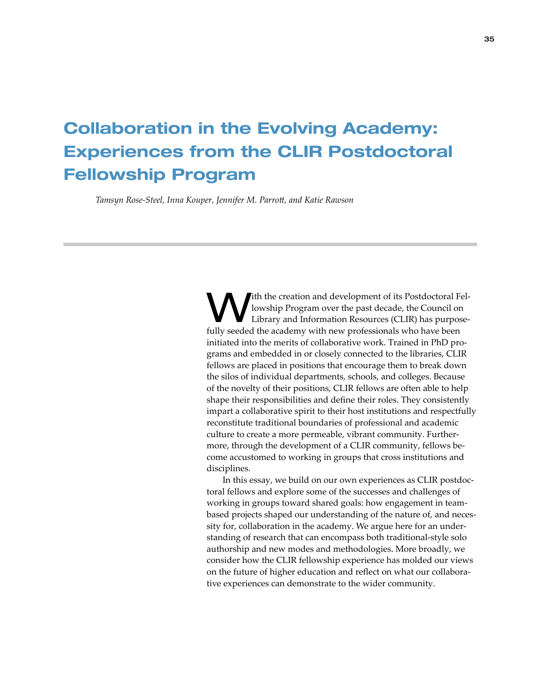# Collaboration in the Evolving Academy: Experiences from the CLIR Postdoctoral Fellowship Program

*Tamsyn Rose-Steel, Inna Kouper, Jennifer M. Parrott, and Katie Rawson*

With the creation and development of its Postdoctoral Fel-<br>
Library and Information Resources (CLIR) has purpose-<br>
Library and Information Resources (CLIR) has purposelowship Program over the past decade, the Council on fully seeded the academy with new professionals who have been initiated into the merits of collaborative work. Trained in PhD programs and embedded in or closely connected to the libraries, CLIR fellows are placed in positions that encourage them to break down the silos of individual departments, schools, and colleges. Because of the novelty of their positions, CLIR fellows are often able to help shape their responsibilities and define their roles. They consistently impart a collaborative spirit to their host institutions and respectfully reconstitute traditional boundaries of professional and academic culture to create a more permeable, vibrant community. Furthermore, through the development of a CLIR community, fellows become accustomed to working in groups that cross institutions and disciplines.

In this essay, we build on our own experiences as CLIR postdoctoral fellows and explore some of the successes and challenges of working in groups toward shared goals: how engagement in teambased projects shaped our understanding of the nature of, and necessity for, collaboration in the academy. We argue here for an understanding of research that can encompass both traditional-style solo authorship and new modes and methodologies. More broadly, we consider how the CLIR fellowship experience has molded our views on the future of higher education and reflect on what our collaborative experiences can demonstrate to the wider community.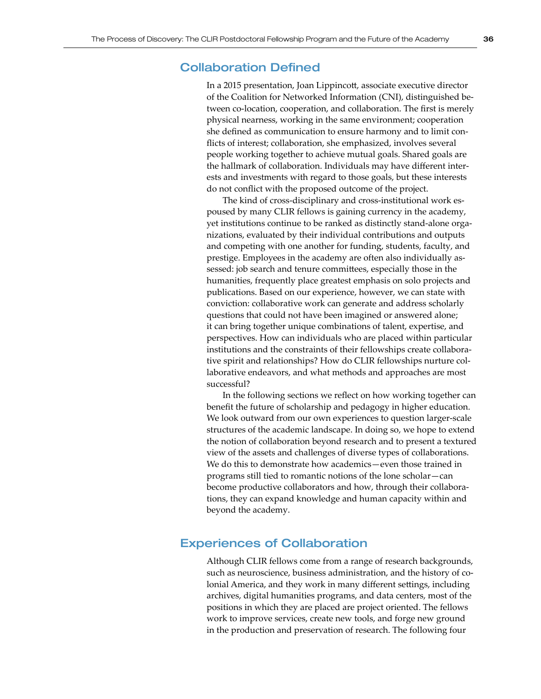## Collaboration Defined

In a 2015 presentation, Joan Lippincott, associate executive director of the Coalition for Networked Information (CNI), distinguished between co-location, cooperation, and collaboration. The first is merely physical nearness, working in the same environment; cooperation she defined as communication to ensure harmony and to limit conflicts of interest; collaboration, she emphasized, involves several people working together to achieve mutual goals. Shared goals are the hallmark of collaboration. Individuals may have different interests and investments with regard to those goals, but these interests do not conflict with the proposed outcome of the project.

The kind of cross-disciplinary and cross-institutional work espoused by many CLIR fellows is gaining currency in the academy, yet institutions continue to be ranked as distinctly stand-alone organizations, evaluated by their individual contributions and outputs and competing with one another for funding, students, faculty, and prestige. Employees in the academy are often also individually assessed: job search and tenure committees, especially those in the humanities, frequently place greatest emphasis on solo projects and publications. Based on our experience, however, we can state with conviction: collaborative work can generate and address scholarly questions that could not have been imagined or answered alone; it can bring together unique combinations of talent, expertise, and perspectives. How can individuals who are placed within particular institutions and the constraints of their fellowships create collaborative spirit and relationships? How do CLIR fellowships nurture collaborative endeavors, and what methods and approaches are most successful?

In the following sections we reflect on how working together can benefit the future of scholarship and pedagogy in higher education. We look outward from our own experiences to question larger-scale structures of the academic landscape. In doing so, we hope to extend the notion of collaboration beyond research and to present a textured view of the assets and challenges of diverse types of collaborations. We do this to demonstrate how academics—even those trained in programs still tied to romantic notions of the lone scholar—can become productive collaborators and how, through their collaborations, they can expand knowledge and human capacity within and beyond the academy.

# Experiences of Collaboration

Although CLIR fellows come from a range of research backgrounds, such as neuroscience, business administration, and the history of colonial America, and they work in many different settings, including archives, digital humanities programs, and data centers, most of the positions in which they are placed are project oriented. The fellows work to improve services, create new tools, and forge new ground in the production and preservation of research. The following four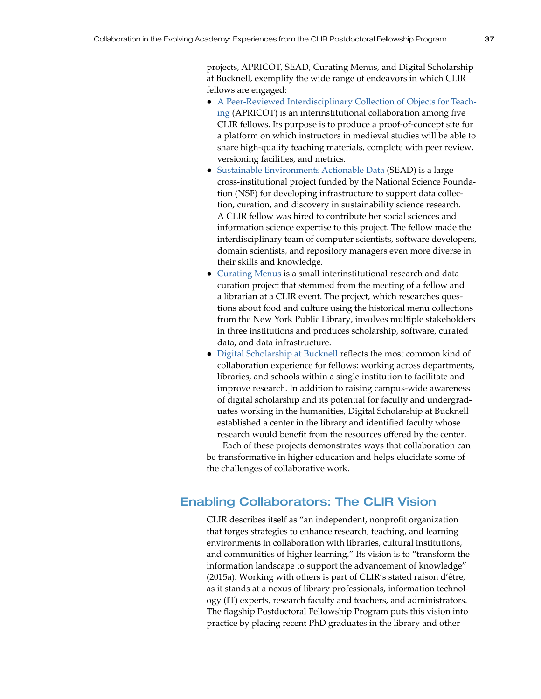projects, APRICOT, SEAD, Curating Menus, and Digital Scholarship at Bucknell, exemplify the wide range of endeavors in which CLIR fellows are engaged:

- [A Peer-Reviewed Interdisciplinary Collection of Objects for Teach](http://myapricot.org)[ing](http://myapricot.org) (APRICOT) is an interinstitutional collaboration among five CLIR fellows. Its purpose is to produce a proof-of-concept site for a platform on which instructors in medieval studies will be able to share high-quality teaching materials, complete with peer review, versioning facilities, and metrics.
- [Sustainable Environments Actionable Data](http://sead-data.net) (SEAD) is a large cross-institutional project funded by the National Science Foundation (NSF) for developing infrastructure to support data collection, curation, and discovery in sustainability science research. A CLIR fellow was hired to contribute her social sciences and information science expertise to this project. The fellow made the interdisciplinary team of computer scientists, software developers, domain scientists, and repository managers even more diverse in their skills and knowledge.
- [Curating Menus](http://www.curatingmenus.org/) is a small interinstitutional research and data curation project that stemmed from the meeting of a fellow and a librarian at a CLIR event. The project, which researches questions about food and culture using the historical menu collections from the New York Public Library, involves multiple stakeholders in three institutions and produces scholarship, software, curated data, and data infrastructure.
- [Digital Scholarship at Bucknell](http://budi.bucknell.edu/) reflects the most common kind of collaboration experience for fellows: working across departments, libraries, and schools within a single institution to facilitate and improve research. In addition to raising campus-wide awareness of digital scholarship and its potential for faculty and undergraduates working in the humanities, Digital Scholarship at Bucknell established a center in the library and identified faculty whose research would benefit from the resources offered by the center.

Each of these projects demonstrates ways that collaboration can be transformative in higher education and helps elucidate some of the challenges of collaborative work.

# Enabling Collaborators: The CLIR Vision

CLIR describes itself as "an independent, nonprofit organization that forges strategies to enhance research, teaching, and learning environments in collaboration with libraries, cultural institutions, and communities of higher learning." Its vision is to "transform the information landscape to support the advancement of knowledge" (2015a). Working with others is part of CLIR's stated raison d'être, as it stands at a nexus of library professionals, information technology (IT) experts, research faculty and teachers, and administrators. The flagship Postdoctoral Fellowship Program puts this vision into practice by placing recent PhD graduates in the library and other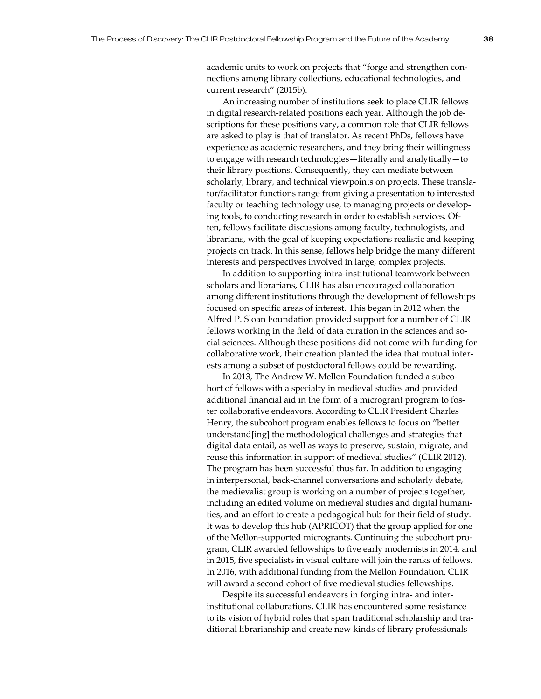academic units to work on projects that "forge and strengthen connections among library collections, educational technologies, and current research" (2015b).

An increasing number of institutions seek to place CLIR fellows in digital research-related positions each year. Although the job descriptions for these positions vary, a common role that CLIR fellows are asked to play is that of translator. As recent PhDs, fellows have experience as academic researchers, and they bring their willingness to engage with research technologies—literally and analytically—to their library positions. Consequently, they can mediate between scholarly, library, and technical viewpoints on projects. These translator/facilitator functions range from giving a presentation to interested faculty or teaching technology use, to managing projects or developing tools, to conducting research in order to establish services. Often, fellows facilitate discussions among faculty, technologists, and librarians, with the goal of keeping expectations realistic and keeping projects on track. In this sense, fellows help bridge the many different interests and perspectives involved in large, complex projects.

In addition to supporting intra-institutional teamwork between scholars and librarians, CLIR has also encouraged collaboration among different institutions through the development of fellowships focused on specific areas of interest. This began in 2012 when the Alfred P. Sloan Foundation provided support for a number of CLIR fellows working in the field of data curation in the sciences and social sciences. Although these positions did not come with funding for collaborative work, their creation planted the idea that mutual interests among a subset of postdoctoral fellows could be rewarding.

In 2013, The Andrew W. Mellon Foundation funded a subcohort of fellows with a specialty in medieval studies and provided additional financial aid in the form of a microgrant program to foster collaborative endeavors. According to CLIR President Charles Henry, the subcohort program enables fellows to focus on "better understand[ing] the methodological challenges and strategies that digital data entail, as well as ways to preserve, sustain, migrate, and reuse this information in support of medieval studies" (CLIR 2012). The program has been successful thus far. In addition to engaging in interpersonal, back-channel conversations and scholarly debate, the medievalist group is working on a number of projects together, including an edited volume on medieval studies and digital humanities, and an effort to create a pedagogical hub for their field of study. It was to develop this hub (APRICOT) that the group applied for one of the Mellon-supported microgrants. Continuing the subcohort program, CLIR awarded fellowships to five early modernists in 2014, and in 2015, five specialists in visual culture will join the ranks of fellows. In 2016, with additional funding from the Mellon Foundation, CLIR will award a second cohort of five medieval studies fellowships.

Despite its successful endeavors in forging intra- and interinstitutional collaborations, CLIR has encountered some resistance to its vision of hybrid roles that span traditional scholarship and traditional librarianship and create new kinds of library professionals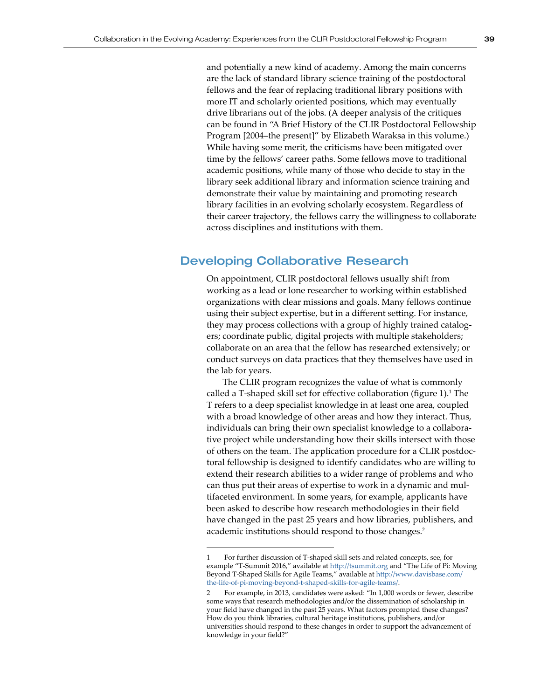and potentially a new kind of academy. Among the main concerns are the lack of standard library science training of the postdoctoral fellows and the fear of replacing traditional library positions with more IT and scholarly oriented positions, which may eventually drive librarians out of the jobs. (A deeper analysis of the critiques can be found in "A Brief History of the CLIR Postdoctoral Fellowship Program [2004–the present]" by Elizabeth Waraksa in this volume.) While having some merit, the criticisms have been mitigated over time by the fellows' career paths. Some fellows move to traditional academic positions, while many of those who decide to stay in the library seek additional library and information science training and demonstrate their value by maintaining and promoting research library facilities in an evolving scholarly ecosystem. Regardless of their career trajectory, the fellows carry the willingness to collaborate across disciplines and institutions with them.

# Developing Collaborative Research

On appointment, CLIR postdoctoral fellows usually shift from working as a lead or lone researcher to working within established organizations with clear missions and goals. Many fellows continue using their subject expertise, but in a different setting. For instance, they may process collections with a group of highly trained catalogers; coordinate public, digital projects with multiple stakeholders; collaborate on an area that the fellow has researched extensively; or conduct surveys on data practices that they themselves have used in the lab for years.

The CLIR program recognizes the value of what is commonly called a T-shaped skill set for effective collaboration (figure 1).<sup>1</sup> The T refers to a deep specialist knowledge in at least one area, coupled with a broad knowledge of other areas and how they interact. Thus, individuals can bring their own specialist knowledge to a collaborative project while understanding how their skills intersect with those of others on the team. The application procedure for a CLIR postdoctoral fellowship is designed to identify candidates who are willing to extend their research abilities to a wider range of problems and who can thus put their areas of expertise to work in a dynamic and multifaceted environment. In some years, for example, applicants have been asked to describe how research methodologies in their field have changed in the past 25 years and how libraries, publishers, and academic institutions should respond to those changes.<sup>2</sup>

<sup>1</sup> For further discussion of T-shaped skill sets and related concepts, see, for example "T-Summit 2016," available at <http://tsummit.org> and "The Life of Pi: Moving Beyond T-Shaped Skills for Agile Teams," available at [http://www.davisbase.com/](http://www.davisbase.com/the-life-of-pi-moving-beyond-t-shaped-skills-for-agile-teams/) [the-life-of-pi-moving-beyond-t-shaped-skills-for-agile-teams/](http://www.davisbase.com/the-life-of-pi-moving-beyond-t-shaped-skills-for-agile-teams/).

<sup>2</sup> For example, in 2013, candidates were asked: "In 1,000 words or fewer, describe some ways that research methodologies and/or the dissemination of scholarship in your field have changed in the past 25 years. What factors prompted these changes? How do you think libraries, cultural heritage institutions, publishers, and/or universities should respond to these changes in order to support the advancement of knowledge in your field?"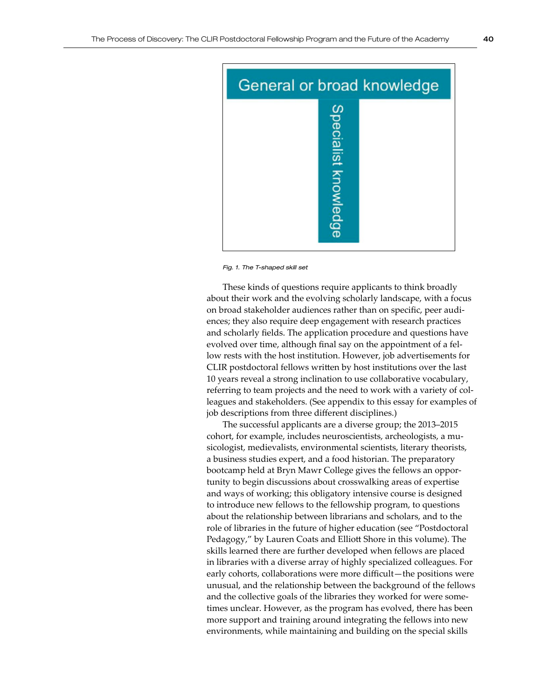

*Fig. 1. The T-shaped skill set*

These kinds of questions require applicants to think broadly about their work and the evolving scholarly landscape, with a focus on broad stakeholder audiences rather than on specific, peer audiences; they also require deep engagement with research practices and scholarly fields. The application procedure and questions have evolved over time, although final say on the appointment of a fellow rests with the host institution. However, job advertisements for CLIR postdoctoral fellows written by host institutions over the last 10 years reveal a strong inclination to use collaborative vocabulary, referring to team projects and the need to work with a variety of colleagues and stakeholders. (See appendix to this essay for examples of job descriptions from three different disciplines.)

The successful applicants are a diverse group; the 2013–2015 cohort, for example, includes neuroscientists, archeologists, a musicologist, medievalists, environmental scientists, literary theorists, a business studies expert, and a food historian. The preparatory bootcamp held at Bryn Mawr College gives the fellows an opportunity to begin discussions about crosswalking areas of expertise and ways of working; this obligatory intensive course is designed to introduce new fellows to the fellowship program, to questions about the relationship between librarians and scholars, and to the role of libraries in the future of higher education (see "Postdoctoral Pedagogy," by Lauren Coats and Elliott Shore in this volume). The skills learned there are further developed when fellows are placed in libraries with a diverse array of highly specialized colleagues. For early cohorts, collaborations were more difficult—the positions were unusual, and the relationship between the background of the fellows and the collective goals of the libraries they worked for were sometimes unclear. However, as the program has evolved, there has been more support and training around integrating the fellows into new environments, while maintaining and building on the special skills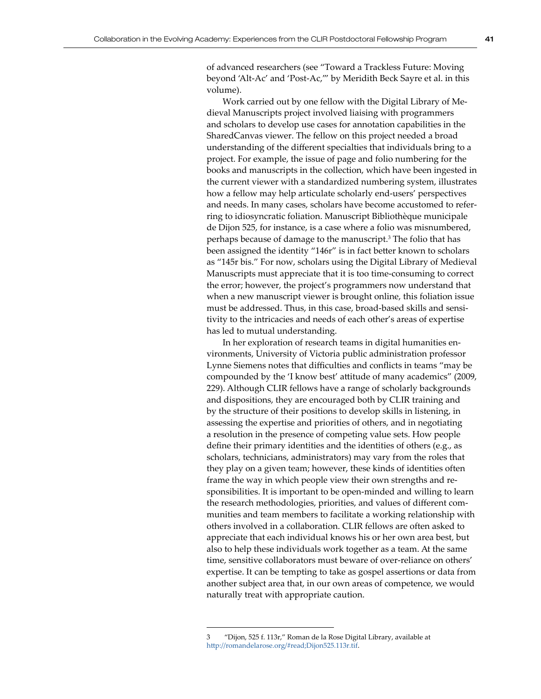Work carried out by one fellow with the Digital Library of Medieval Manuscripts project involved liaising with programmers and scholars to develop use cases for annotation capabilities in the SharedCanvas viewer. The fellow on this project needed a broad understanding of the different specialties that individuals bring to a project. For example, the issue of page and folio numbering for the books and manuscripts in the collection, which have been ingested in the current viewer with a standardized numbering system, illustrates how a fellow may help articulate scholarly end-users' perspectives and needs. In many cases, scholars have become accustomed to referring to idiosyncratic foliation. Manuscript Bibliothèque municipale de Dijon 525, for instance, is a case where a folio was misnumbered, perhaps because of damage to the manuscript.<sup>3</sup> The folio that has been assigned the identity "146r" is in fact better known to scholars as "145r bis." For now, scholars using the Digital Library of Medieval Manuscripts must appreciate that it is too time-consuming to correct the error; however, the project's programmers now understand that when a new manuscript viewer is brought online, this foliation issue must be addressed. Thus, in this case, broad-based skills and sensitivity to the intricacies and needs of each other's areas of expertise has led to mutual understanding.

In her exploration of research teams in digital humanities environments, University of Victoria public administration professor Lynne Siemens notes that difficulties and conflicts in teams "may be compounded by the 'I know best' attitude of many academics" (2009, 229). Although CLIR fellows have a range of scholarly backgrounds and dispositions, they are encouraged both by CLIR training and by the structure of their positions to develop skills in listening, in assessing the expertise and priorities of others, and in negotiating a resolution in the presence of competing value sets. How people define their primary identities and the identities of others (e.g., as scholars, technicians, administrators) may vary from the roles that they play on a given team; however, these kinds of identities often frame the way in which people view their own strengths and responsibilities. It is important to be open-minded and willing to learn the research methodologies, priorities, and values of different communities and team members to facilitate a working relationship with others involved in a collaboration. CLIR fellows are often asked to appreciate that each individual knows his or her own area best, but also to help these individuals work together as a team. At the same time, sensitive collaborators must beware of over-reliance on others' expertise. It can be tempting to take as gospel assertions or data from another subject area that, in our own areas of competence, we would naturally treat with appropriate caution.

<sup>3 &</sup>quot;Dijon, 525 f. 113r," Roman de la Rose Digital Library, available at <http://romandelarose.org/#read;Dijon525.113r.tif>.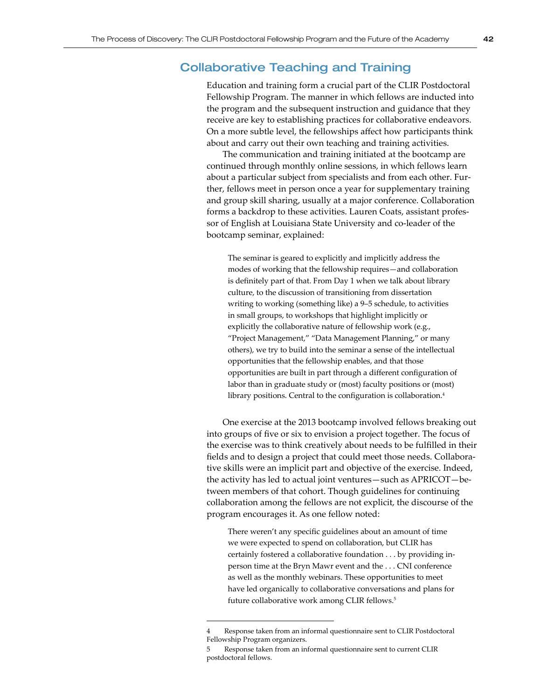# Collaborative Teaching and Training

Education and training form a crucial part of the CLIR Postdoctoral Fellowship Program. The manner in which fellows are inducted into the program and the subsequent instruction and guidance that they receive are key to establishing practices for collaborative endeavors. On a more subtle level, the fellowships affect how participants think about and carry out their own teaching and training activities.

The communication and training initiated at the bootcamp are continued through monthly online sessions, in which fellows learn about a particular subject from specialists and from each other. Further, fellows meet in person once a year for supplementary training and group skill sharing, usually at a major conference. Collaboration forms a backdrop to these activities. Lauren Coats, assistant professor of English at Louisiana State University and co-leader of the bootcamp seminar, explained:

The seminar is geared to explicitly and implicitly address the modes of working that the fellowship requires—and collaboration is definitely part of that. From Day 1 when we talk about library culture, to the discussion of transitioning from dissertation writing to working (something like) a 9–5 schedule, to activities in small groups, to workshops that highlight implicitly or explicitly the collaborative nature of fellowship work (e.g., "Project Management," "Data Management Planning," or many others), we try to build into the seminar a sense of the intellectual opportunities that the fellowship enables, and that those opportunities are built in part through a different configuration of labor than in graduate study or (most) faculty positions or (most) library positions. Central to the configuration is collaboration. 4

One exercise at the 2013 bootcamp involved fellows breaking out into groups of five or six to envision a project together. The focus of the exercise was to think creatively about needs to be fulfilled in their fields and to design a project that could meet those needs. Collaborative skills were an implicit part and objective of the exercise. Indeed, the activity has led to actual joint ventures—such as APRICOT—between members of that cohort. Though guidelines for continuing collaboration among the fellows are not explicit, the discourse of the program encourages it. As one fellow noted:

There weren't any specific guidelines about an amount of time we were expected to spend on collaboration, but CLIR has certainly fostered a collaborative foundation . . . by providing inperson time at the Bryn Mawr event and the . . . CNI conference as well as the monthly webinars. These opportunities to meet have led organically to collaborative conversations and plans for future collaborative work among CLIR fellows.<sup>5</sup>

Response taken from an informal questionnaire sent to CLIR Postdoctoral Fellowship Program organizers.

<sup>5</sup> Response taken from an informal questionnaire sent to current CLIR postdoctoral fellows.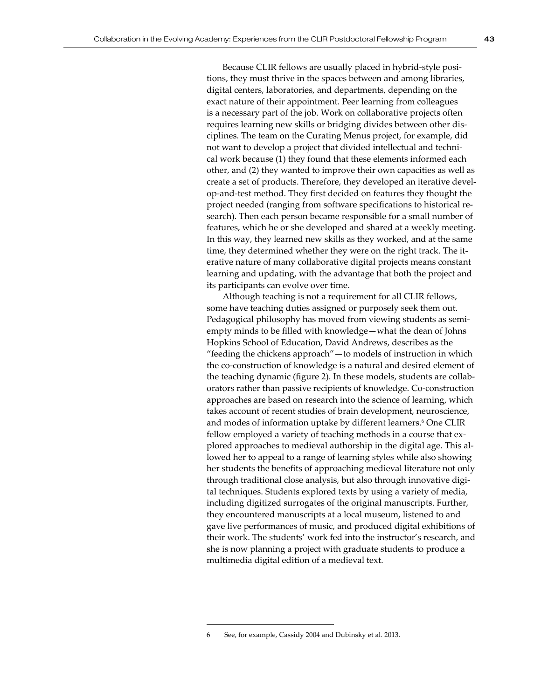Because CLIR fellows are usually placed in hybrid-style positions, they must thrive in the spaces between and among libraries, digital centers, laboratories, and departments, depending on the exact nature of their appointment. Peer learning from colleagues is a necessary part of the job. Work on collaborative projects often requires learning new skills or bridging divides between other disciplines. The team on the Curating Menus project, for example, did not want to develop a project that divided intellectual and technical work because (1) they found that these elements informed each other, and (2) they wanted to improve their own capacities as well as create a set of products. Therefore, they developed an iterative develop-and-test method. They first decided on features they thought the project needed (ranging from software specifications to historical research). Then each person became responsible for a small number of features, which he or she developed and shared at a weekly meeting. In this way, they learned new skills as they worked, and at the same time, they determined whether they were on the right track. The iterative nature of many collaborative digital projects means constant learning and updating, with the advantage that both the project and its participants can evolve over time.

Although teaching is not a requirement for all CLIR fellows, some have teaching duties assigned or purposely seek them out. Pedagogical philosophy has moved from viewing students as semiempty minds to be filled with knowledge—what the dean of Johns Hopkins School of Education, David Andrews, describes as the "feeding the chickens approach"—to models of instruction in which the co-construction of knowledge is a natural and desired element of the teaching dynamic (figure 2). In these models, students are collaborators rather than passive recipients of knowledge. Co-construction approaches are based on research into the science of learning, which takes account of recent studies of brain development, neuroscience, and modes of information uptake by different learners.<sup>6</sup> One CLIR fellow employed a variety of teaching methods in a course that explored approaches to medieval authorship in the digital age. This allowed her to appeal to a range of learning styles while also showing her students the benefits of approaching medieval literature not only through traditional close analysis, but also through innovative digital techniques. Students explored texts by using a variety of media, including digitized surrogates of the original manuscripts. Further, they encountered manuscripts at a local museum, listened to and gave live performances of music, and produced digital exhibitions of their work. The students' work fed into the instructor's research, and she is now planning a project with graduate students to produce a multimedia digital edition of a medieval text.

<sup>6</sup> See, for example, Cassidy 2004 and Dubinsky et al. 2013.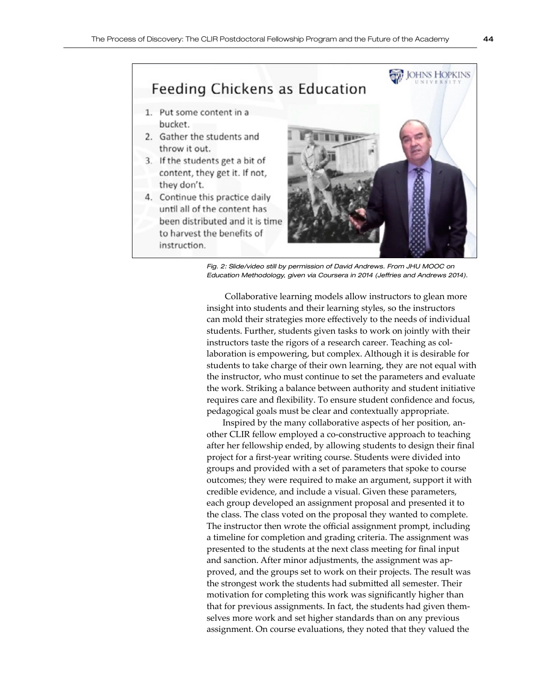

*Fig. 2: Slide/video still by permission of David Andrews. From JHU MOOC on Education Methodology, given via Coursera in 2014 (Jeffries and Andrews 2014).*

 Collaborative learning models allow instructors to glean more insight into students and their learning styles, so the instructors can mold their strategies more effectively to the needs of individual students. Further, students given tasks to work on jointly with their instructors taste the rigors of a research career. Teaching as collaboration is empowering, but complex. Although it is desirable for students to take charge of their own learning, they are not equal with the instructor, who must continue to set the parameters and evaluate the work. Striking a balance between authority and student initiative requires care and flexibility. To ensure student confidence and focus, pedagogical goals must be clear and contextually appropriate.

Inspired by the many collaborative aspects of her position, another CLIR fellow employed a co-constructive approach to teaching after her fellowship ended, by allowing students to design their final project for a first-year writing course. Students were divided into groups and provided with a set of parameters that spoke to course outcomes; they were required to make an argument, support it with credible evidence, and include a visual. Given these parameters, each group developed an assignment proposal and presented it to the class. The class voted on the proposal they wanted to complete. The instructor then wrote the official assignment prompt, including a timeline for completion and grading criteria. The assignment was presented to the students at the next class meeting for final input and sanction. After minor adjustments, the assignment was approved, and the groups set to work on their projects. The result was the strongest work the students had submitted all semester. Their motivation for completing this work was significantly higher than that for previous assignments. In fact, the students had given themselves more work and set higher standards than on any previous assignment. On course evaluations, they noted that they valued the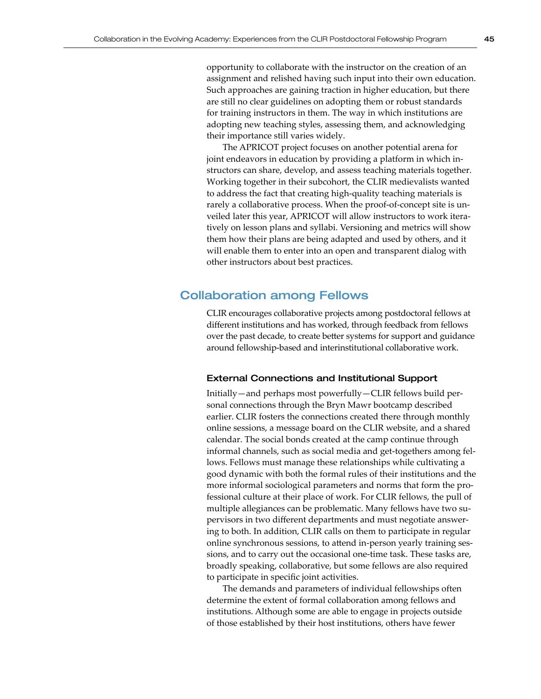opportunity to collaborate with the instructor on the creation of an assignment and relished having such input into their own education. Such approaches are gaining traction in higher education, but there are still no clear guidelines on adopting them or robust standards for training instructors in them. The way in which institutions are adopting new teaching styles, assessing them, and acknowledging their importance still varies widely.

The APRICOT project focuses on another potential arena for joint endeavors in education by providing a platform in which instructors can share, develop, and assess teaching materials together. Working together in their subcohort, the CLIR medievalists wanted to address the fact that creating high-quality teaching materials is rarely a collaborative process. When the proof-of-concept site is unveiled later this year, APRICOT will allow instructors to work iteratively on lesson plans and syllabi. Versioning and metrics will show them how their plans are being adapted and used by others, and it will enable them to enter into an open and transparent dialog with other instructors about best practices.

# Collaboration among Fellows

CLIR encourages collaborative projects among postdoctoral fellows at different institutions and has worked, through feedback from fellows over the past decade, to create better systems for support and guidance around fellowship-based and interinstitutional collaborative work.

## External Connections and Institutional Support

Initially—and perhaps most powerfully—CLIR fellows build personal connections through the Bryn Mawr bootcamp described earlier. CLIR fosters the connections created there through monthly online sessions, a message board on the CLIR website, and a shared calendar. The social bonds created at the camp continue through informal channels, such as social media and get-togethers among fellows. Fellows must manage these relationships while cultivating a good dynamic with both the formal rules of their institutions and the more informal sociological parameters and norms that form the professional culture at their place of work. For CLIR fellows, the pull of multiple allegiances can be problematic. Many fellows have two supervisors in two different departments and must negotiate answering to both. In addition, CLIR calls on them to participate in regular online synchronous sessions, to attend in-person yearly training sessions, and to carry out the occasional one-time task. These tasks are, broadly speaking, collaborative, but some fellows are also required to participate in specific joint activities.

The demands and parameters of individual fellowships often determine the extent of formal collaboration among fellows and institutions. Although some are able to engage in projects outside of those established by their host institutions, others have fewer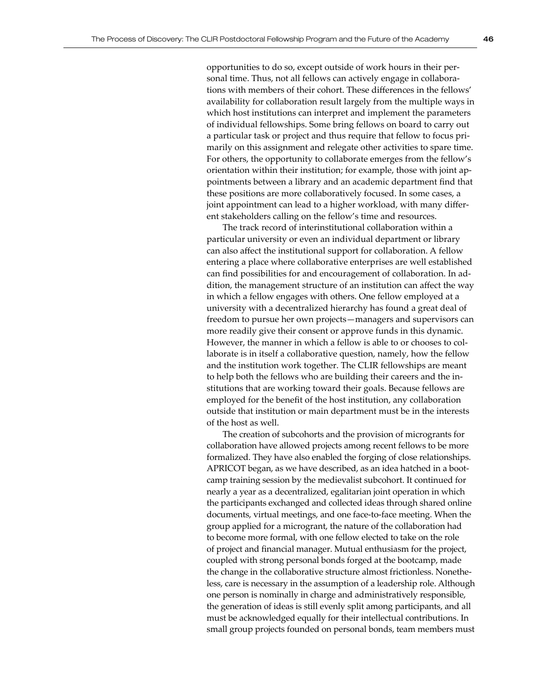opportunities to do so, except outside of work hours in their personal time. Thus, not all fellows can actively engage in collaborations with members of their cohort. These differences in the fellows' availability for collaboration result largely from the multiple ways in which host institutions can interpret and implement the parameters of individual fellowships. Some bring fellows on board to carry out a particular task or project and thus require that fellow to focus primarily on this assignment and relegate other activities to spare time. For others, the opportunity to collaborate emerges from the fellow's orientation within their institution; for example, those with joint appointments between a library and an academic department find that these positions are more collaboratively focused. In some cases, a joint appointment can lead to a higher workload, with many different stakeholders calling on the fellow's time and resources.

The track record of interinstitutional collaboration within a particular university or even an individual department or library can also affect the institutional support for collaboration. A fellow entering a place where collaborative enterprises are well established can find possibilities for and encouragement of collaboration. In addition, the management structure of an institution can affect the way in which a fellow engages with others. One fellow employed at a university with a decentralized hierarchy has found a great deal of freedom to pursue her own projects—managers and supervisors can more readily give their consent or approve funds in this dynamic. However, the manner in which a fellow is able to or chooses to collaborate is in itself a collaborative question, namely, how the fellow and the institution work together. The CLIR fellowships are meant to help both the fellows who are building their careers and the institutions that are working toward their goals. Because fellows are employed for the benefit of the host institution, any collaboration outside that institution or main department must be in the interests of the host as well.

The creation of subcohorts and the provision of microgrants for collaboration have allowed projects among recent fellows to be more formalized. They have also enabled the forging of close relationships. APRICOT began, as we have described, as an idea hatched in a bootcamp training session by the medievalist subcohort. It continued for nearly a year as a decentralized, egalitarian joint operation in which the participants exchanged and collected ideas through shared online documents, virtual meetings, and one face-to-face meeting. When the group applied for a microgrant, the nature of the collaboration had to become more formal, with one fellow elected to take on the role of project and financial manager. Mutual enthusiasm for the project, coupled with strong personal bonds forged at the bootcamp, made the change in the collaborative structure almost frictionless. Nonetheless, care is necessary in the assumption of a leadership role. Although one person is nominally in charge and administratively responsible, the generation of ideas is still evenly split among participants, and all must be acknowledged equally for their intellectual contributions. In small group projects founded on personal bonds, team members must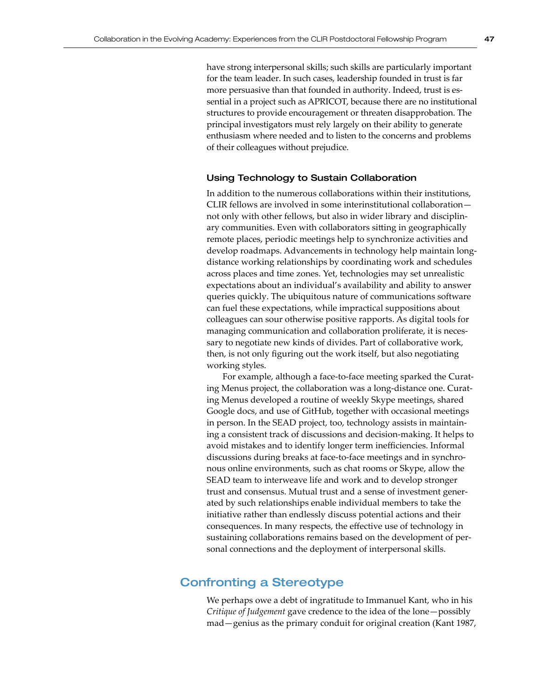have strong interpersonal skills; such skills are particularly important for the team leader. In such cases, leadership founded in trust is far more persuasive than that founded in authority. Indeed, trust is essential in a project such as APRICOT, because there are no institutional structures to provide encouragement or threaten disapprobation. The principal investigators must rely largely on their ability to generate enthusiasm where needed and to listen to the concerns and problems of their colleagues without prejudice.

## Using Technology to Sustain Collaboration

In addition to the numerous collaborations within their institutions, CLIR fellows are involved in some interinstitutional collaboration not only with other fellows, but also in wider library and disciplinary communities. Even with collaborators sitting in geographically remote places, periodic meetings help to synchronize activities and develop roadmaps. Advancements in technology help maintain longdistance working relationships by coordinating work and schedules across places and time zones. Yet, technologies may set unrealistic expectations about an individual's availability and ability to answer queries quickly. The ubiquitous nature of communications software can fuel these expectations, while impractical suppositions about colleagues can sour otherwise positive rapports. As digital tools for managing communication and collaboration proliferate, it is necessary to negotiate new kinds of divides. Part of collaborative work, then, is not only figuring out the work itself, but also negotiating working styles.

For example, although a face-to-face meeting sparked the Curating Menus project, the collaboration was a long-distance one. Curating Menus developed a routine of weekly Skype meetings, shared Google docs, and use of GitHub, together with occasional meetings in person. In the SEAD project, too, technology assists in maintaining a consistent track of discussions and decision-making. It helps to avoid mistakes and to identify longer term inefficiencies. Informal discussions during breaks at face-to-face meetings and in synchronous online environments, such as chat rooms or Skype, allow the SEAD team to interweave life and work and to develop stronger trust and consensus. Mutual trust and a sense of investment generated by such relationships enable individual members to take the initiative rather than endlessly discuss potential actions and their consequences. In many respects, the effective use of technology in sustaining collaborations remains based on the development of personal connections and the deployment of interpersonal skills.

## Confronting a Stereotype

We perhaps owe a debt of ingratitude to Immanuel Kant, who in his *Critique of Judgement* gave credence to the idea of the lone—possibly mad—genius as the primary conduit for original creation (Kant 1987,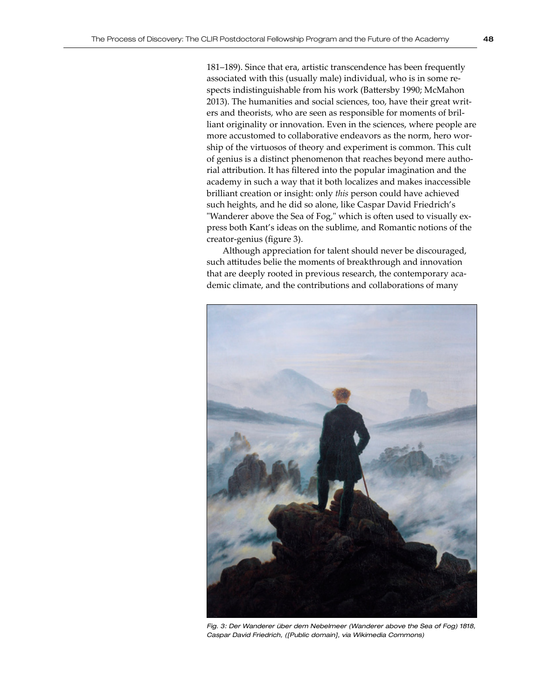181–189). Since that era, artistic transcendence has been frequently associated with this (usually male) individual, who is in some respects indistinguishable from his work (Battersby 1990; McMahon 2013). The humanities and social sciences, too, have their great writers and theorists, who are seen as responsible for moments of brilliant originality or innovation. Even in the sciences, where people are more accustomed to collaborative endeavors as the norm, hero worship of the virtuosos of theory and experiment is common. This cult of genius is a distinct phenomenon that reaches beyond mere authorial attribution. It has filtered into the popular imagination and the academy in such a way that it both localizes and makes inaccessible brilliant creation or insight: only *this* person could have achieved such heights, and he did so alone, like Caspar David Friedrich's "Wanderer above the Sea of Fog," which is often used to visually express both Kant's ideas on the sublime, and Romantic notions of the creator-genius (figure 3).

Although appreciation for talent should never be discouraged, such attitudes belie the moments of breakthrough and innovation that are deeply rooted in previous research, the contemporary academic climate, and the contributions and collaborations of many



Fig. 3: Der Wanderer über dem Nebelmeer (Wanderer above the Sea of Fog) 1818, *Caspar David Friedrich, ([Public domain], via Wikimedia Commons)*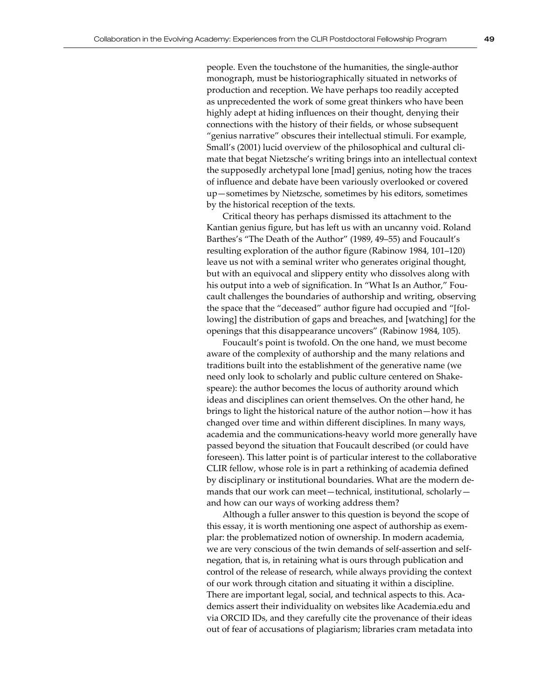people. Even the touchstone of the humanities, the single-author monograph, must be historiographically situated in networks of production and reception. We have perhaps too readily accepted as unprecedented the work of some great thinkers who have been highly adept at hiding influences on their thought, denying their connections with the history of their fields, or whose subsequent "genius narrative" obscures their intellectual stimuli. For example, Small's (2001) lucid overview of the philosophical and cultural climate that begat Nietzsche's writing brings into an intellectual context the supposedly archetypal lone [mad] genius, noting how the traces of influence and debate have been variously overlooked or covered up—sometimes by Nietzsche, sometimes by his editors, sometimes by the historical reception of the texts.

Critical theory has perhaps dismissed its attachment to the Kantian genius figure, but has left us with an uncanny void. Roland Barthes's "The Death of the Author" (1989, 49–55) and Foucault's resulting exploration of the author figure (Rabinow 1984, 101–120) leave us not with a seminal writer who generates original thought, but with an equivocal and slippery entity who dissolves along with his output into a web of signification. In "What Is an Author," Foucault challenges the boundaries of authorship and writing, observing the space that the "deceased" author figure had occupied and "[following] the distribution of gaps and breaches, and [watching] for the openings that this disappearance uncovers" (Rabinow 1984, 105).

Foucault's point is twofold. On the one hand, we must become aware of the complexity of authorship and the many relations and traditions built into the establishment of the generative name (we need only look to scholarly and public culture centered on Shakespeare): the author becomes the locus of authority around which ideas and disciplines can orient themselves. On the other hand, he brings to light the historical nature of the author notion—how it has changed over time and within different disciplines. In many ways, academia and the communications-heavy world more generally have passed beyond the situation that Foucault described (or could have foreseen). This latter point is of particular interest to the collaborative CLIR fellow, whose role is in part a rethinking of academia defined by disciplinary or institutional boundaries. What are the modern demands that our work can meet—technical, institutional, scholarly and how can our ways of working address them?

Although a fuller answer to this question is beyond the scope of this essay, it is worth mentioning one aspect of authorship as exemplar: the problematized notion of ownership. In modern academia, we are very conscious of the twin demands of self-assertion and selfnegation, that is, in retaining what is ours through publication and control of the release of research, while always providing the context of our work through citation and situating it within a discipline. There are important legal, social, and technical aspects to this. Academics assert their individuality on websites like Academia.edu and via ORCID IDs, and they carefully cite the provenance of their ideas out of fear of accusations of plagiarism; libraries cram metadata into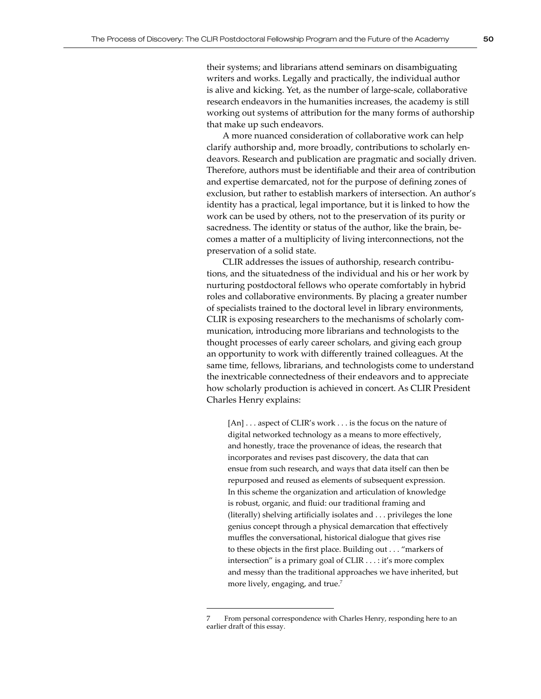their systems; and librarians attend seminars on disambiguating writers and works. Legally and practically, the individual author is alive and kicking. Yet, as the number of large-scale, collaborative research endeavors in the humanities increases, the academy is still working out systems of attribution for the many forms of authorship that make up such endeavors.

A more nuanced consideration of collaborative work can help clarify authorship and, more broadly, contributions to scholarly endeavors. Research and publication are pragmatic and socially driven. Therefore, authors must be identifiable and their area of contribution and expertise demarcated, not for the purpose of defining zones of exclusion, but rather to establish markers of intersection. An author's identity has a practical, legal importance, but it is linked to how the work can be used by others, not to the preservation of its purity or sacredness. The identity or status of the author, like the brain, becomes a matter of a multiplicity of living interconnections, not the preservation of a solid state.

CLIR addresses the issues of authorship, research contributions, and the situatedness of the individual and his or her work by nurturing postdoctoral fellows who operate comfortably in hybrid roles and collaborative environments. By placing a greater number of specialists trained to the doctoral level in library environments, CLIR is exposing researchers to the mechanisms of scholarly communication, introducing more librarians and technologists to the thought processes of early career scholars, and giving each group an opportunity to work with differently trained colleagues. At the same time, fellows, librarians, and technologists come to understand the inextricable connectedness of their endeavors and to appreciate how scholarly production is achieved in concert. As CLIR President Charles Henry explains:

[An] . . . aspect of CLIR's work . . . is the focus on the nature of digital networked technology as a means to more effectively, and honestly, trace the provenance of ideas, the research that incorporates and revises past discovery, the data that can ensue from such research, and ways that data itself can then be repurposed and reused as elements of subsequent expression. In this scheme the organization and articulation of knowledge is robust, organic, and fluid: our traditional framing and (literally) shelving artificially isolates and . . . privileges the lone genius concept through a physical demarcation that effectively muffles the conversational, historical dialogue that gives rise to these objects in the first place. Building out . . . "markers of intersection" is a primary goal of CLIR . . . : it's more complex and messy than the traditional approaches we have inherited, but more lively, engaging, and true.<sup>7</sup>

From personal correspondence with Charles Henry, responding here to an earlier draft of this essay.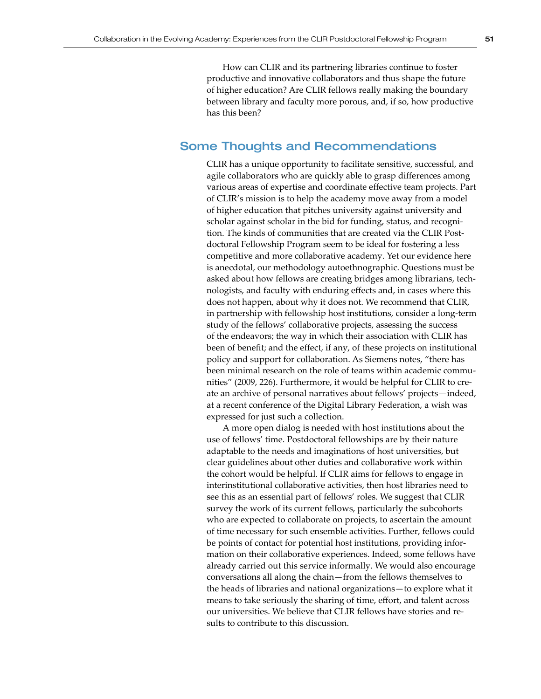How can CLIR and its partnering libraries continue to foster productive and innovative collaborators and thus shape the future of higher education? Are CLIR fellows really making the boundary between library and faculty more porous, and, if so, how productive has this been?

## Some Thoughts and Recommendations

CLIR has a unique opportunity to facilitate sensitive, successful, and agile collaborators who are quickly able to grasp differences among various areas of expertise and coordinate effective team projects. Part of CLIR's mission is to help the academy move away from a model of higher education that pitches university against university and scholar against scholar in the bid for funding, status, and recognition. The kinds of communities that are created via the CLIR Postdoctoral Fellowship Program seem to be ideal for fostering a less competitive and more collaborative academy. Yet our evidence here is anecdotal, our methodology autoethnographic. Questions must be asked about how fellows are creating bridges among librarians, technologists, and faculty with enduring effects and, in cases where this does not happen, about why it does not. We recommend that CLIR, in partnership with fellowship host institutions, consider a long-term study of the fellows' collaborative projects, assessing the success of the endeavors; the way in which their association with CLIR has been of benefit; and the effect, if any, of these projects on institutional policy and support for collaboration. As Siemens notes, "there has been minimal research on the role of teams within academic communities" (2009, 226). Furthermore, it would be helpful for CLIR to create an archive of personal narratives about fellows' projects—indeed, at a recent conference of the Digital Library Federation, a wish was expressed for just such a collection.

A more open dialog is needed with host institutions about the use of fellows' time. Postdoctoral fellowships are by their nature adaptable to the needs and imaginations of host universities, but clear guidelines about other duties and collaborative work within the cohort would be helpful. If CLIR aims for fellows to engage in interinstitutional collaborative activities, then host libraries need to see this as an essential part of fellows' roles. We suggest that CLIR survey the work of its current fellows, particularly the subcohorts who are expected to collaborate on projects, to ascertain the amount of time necessary for such ensemble activities. Further, fellows could be points of contact for potential host institutions, providing information on their collaborative experiences. Indeed, some fellows have already carried out this service informally. We would also encourage conversations all along the chain—from the fellows themselves to the heads of libraries and national organizations—to explore what it means to take seriously the sharing of time, effort, and talent across our universities. We believe that CLIR fellows have stories and results to contribute to this discussion.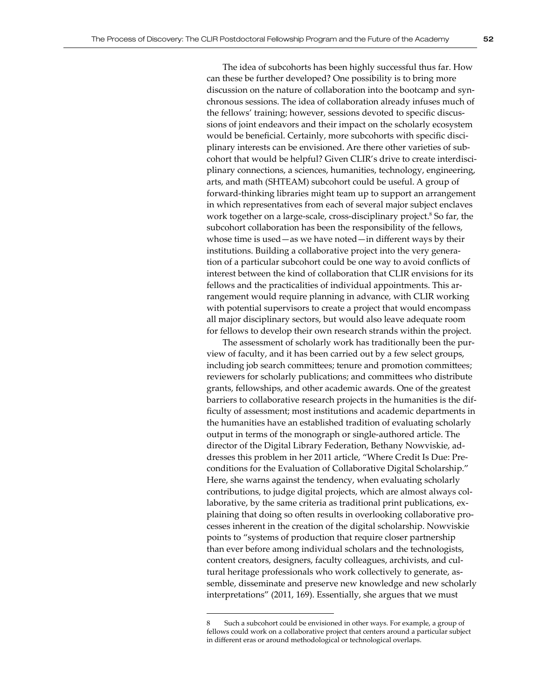The idea of subcohorts has been highly successful thus far. How can these be further developed? One possibility is to bring more discussion on the nature of collaboration into the bootcamp and synchronous sessions. The idea of collaboration already infuses much of the fellows' training; however, sessions devoted to specific discussions of joint endeavors and their impact on the scholarly ecosystem would be beneficial. Certainly, more subcohorts with specific disciplinary interests can be envisioned. Are there other varieties of subcohort that would be helpful? Given CLIR's drive to create interdisciplinary connections, a sciences, humanities, technology, engineering, arts, and math (SHTEAM) subcohort could be useful. A group of forward-thinking libraries might team up to support an arrangement in which representatives from each of several major subject enclaves work together on a large-scale, cross-disciplinary project.<sup>8</sup> So far, the subcohort collaboration has been the responsibility of the fellows, whose time is used—as we have noted—in different ways by their institutions. Building a collaborative project into the very generation of a particular subcohort could be one way to avoid conflicts of interest between the kind of collaboration that CLIR envisions for its fellows and the practicalities of individual appointments. This arrangement would require planning in advance, with CLIR working with potential supervisors to create a project that would encompass all major disciplinary sectors, but would also leave adequate room for fellows to develop their own research strands within the project.

The assessment of scholarly work has traditionally been the purview of faculty, and it has been carried out by a few select groups, including job search committees; tenure and promotion committees; reviewers for scholarly publications; and committees who distribute grants, fellowships, and other academic awards. One of the greatest barriers to collaborative research projects in the humanities is the difficulty of assessment; most institutions and academic departments in the humanities have an established tradition of evaluating scholarly output in terms of the monograph or single-authored article. The director of the Digital Library Federation, Bethany Nowviskie, addresses this problem in her 2011 article, "Where Credit Is Due: Preconditions for the Evaluation of Collaborative Digital Scholarship." Here, she warns against the tendency, when evaluating scholarly contributions, to judge digital projects, which are almost always collaborative, by the same criteria as traditional print publications, explaining that doing so often results in overlooking collaborative processes inherent in the creation of the digital scholarship. Nowviskie points to "systems of production that require closer partnership than ever before among individual scholars and the technologists, content creators, designers, faculty colleagues, archivists, and cultural heritage professionals who work collectively to generate, assemble, disseminate and preserve new knowledge and new scholarly interpretations" (2011, 169). Essentially, she argues that we must

Such a subcohort could be envisioned in other ways. For example, a group of fellows could work on a collaborative project that centers around a particular subject in different eras or around methodological or technological overlaps.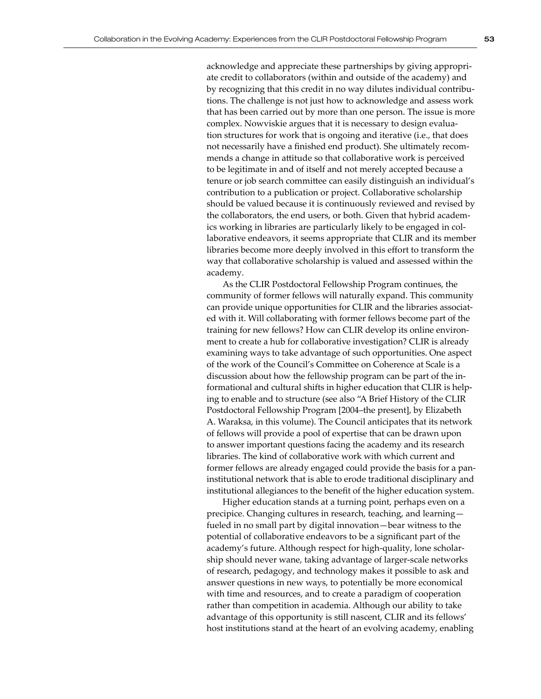acknowledge and appreciate these partnerships by giving appropriate credit to collaborators (within and outside of the academy) and by recognizing that this credit in no way dilutes individual contributions. The challenge is not just how to acknowledge and assess work that has been carried out by more than one person. The issue is more complex. Nowviskie argues that it is necessary to design evaluation structures for work that is ongoing and iterative (i.e., that does not necessarily have a finished end product). She ultimately recommends a change in attitude so that collaborative work is perceived to be legitimate in and of itself and not merely accepted because a tenure or job search committee can easily distinguish an individual's contribution to a publication or project. Collaborative scholarship should be valued because it is continuously reviewed and revised by the collaborators, the end users, or both. Given that hybrid academics working in libraries are particularly likely to be engaged in collaborative endeavors, it seems appropriate that CLIR and its member libraries become more deeply involved in this effort to transform the way that collaborative scholarship is valued and assessed within the academy.

As the CLIR Postdoctoral Fellowship Program continues, the community of former fellows will naturally expand. This community can provide unique opportunities for CLIR and the libraries associated with it. Will collaborating with former fellows become part of the training for new fellows? How can CLIR develop its online environment to create a hub for collaborative investigation? CLIR is already examining ways to take advantage of such opportunities. One aspect of the work of the Council's Committee on Coherence at Scale is a discussion about how the fellowship program can be part of the informational and cultural shifts in higher education that CLIR is helping to enable and to structure (see also "A Brief History of the CLIR Postdoctoral Fellowship Program [2004–the present], by Elizabeth A. Waraksa, in this volume). The Council anticipates that its network of fellows will provide a pool of expertise that can be drawn upon to answer important questions facing the academy and its research libraries. The kind of collaborative work with which current and former fellows are already engaged could provide the basis for a paninstitutional network that is able to erode traditional disciplinary and institutional allegiances to the benefit of the higher education system.

Higher education stands at a turning point, perhaps even on a precipice. Changing cultures in research, teaching, and learning fueled in no small part by digital innovation—bear witness to the potential of collaborative endeavors to be a significant part of the academy's future. Although respect for high-quality, lone scholarship should never wane, taking advantage of larger-scale networks of research, pedagogy, and technology makes it possible to ask and answer questions in new ways, to potentially be more economical with time and resources, and to create a paradigm of cooperation rather than competition in academia. Although our ability to take advantage of this opportunity is still nascent, CLIR and its fellows' host institutions stand at the heart of an evolving academy, enabling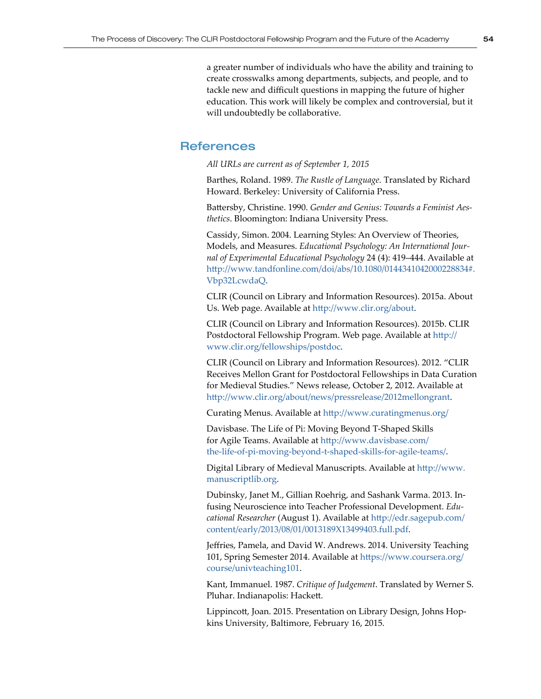a greater number of individuals who have the ability and training to create crosswalks among departments, subjects, and people, and to tackle new and difficult questions in mapping the future of higher education. This work will likely be complex and controversial, but it will undoubtedly be collaborative.

## **References**

*All URLs are current as of September 1, 2015* 

Barthes, Roland. 1989. *The Rustle of Language.* Translated by Richard Howard. Berkeley: University of California Press.

Battersby, Christine. 1990. *Gender and Genius: Towards a Feminist Aesthetics*. Bloomington: Indiana University Press.

Cassidy, Simon. 2004. Learning Styles: An Overview of Theories, Models, and Measures. *Educational Psychology: An International Journal of Experimental Educational Psychology* 24 (4): 419–444. Available at [http://www.tandfonline.com/doi/abs/10.1080/0144341042000228834#.](http://www.tandfonline.com/doi/abs/10.1080/0144341042000228834#.Vbp32LcwdaQ) [Vbp32LcwdaQ](http://www.tandfonline.com/doi/abs/10.1080/0144341042000228834#.Vbp32LcwdaQ).

CLIR (Council on Library and Information Resources). 2015a. About Us. Web page. Available at<http://www.clir.org/about>.

CLIR (Council on Library and Information Resources). 2015b. CLIR Postdoctoral Fellowship Program. Web page. Available at [http://](http://www.clir.org/fellowships/postdoc) [www.clir.org/fellowships/postdoc](http://www.clir.org/fellowships/postdoc).

CLIR (Council on Library and Information Resources). 2012. "CLIR Receives Mellon Grant for Postdoctoral Fellowships in Data Curation for Medieval Studies." News release, October 2, 2012. Available at <http://www.clir.org/about/news/pressrelease/2012mellongrant>.

Curating Menus. Available at <http://www.curatingmenus.org/>

Davisbase. The Life of Pi: Moving Beyond T-Shaped Skills for Agile Teams. Available at [http://www.davisbase.com/](http://www.davisbase.com/the-life-of-pi-moving-beyond-t-shaped-skills-for-agile-teams/) [the-life-of-pi-moving-beyond-t-shaped-skills-for-agile-teams/](http://www.davisbase.com/the-life-of-pi-moving-beyond-t-shaped-skills-for-agile-teams/).

Digital Library of Medieval Manuscripts. Available at http:/[/www.](http://www.manuscriptlib.org) [manuscriptlib.org](http://www.manuscriptlib.org).

Dubinsky, Janet M., Gillian Roehrig, and Sashank Varma. 2013. Infusing Neuroscience into Teacher Professional Development. *Educational Researcher* (August 1). Available at [http://edr.sagepub.com/](http://edr.sagepub.com/content/early/2013/08/01/0013189X13499403.full.pdf) [content/early/2013/08/01/0013189X13499403.full.pdf](http://edr.sagepub.com/content/early/2013/08/01/0013189X13499403.full.pdf).

Jeffries, Pamela, and David W. Andrews. 2014. University Teaching 101, Spring Semester 2014. Available at [https://www.coursera.org/](https://www.coursera.org/course/univteaching101) [course/univteaching101](https://www.coursera.org/course/univteaching101).

Kant, Immanuel. 1987. *Critique of Judgement*. Translated by Werner S. Pluhar. Indianapolis: Hackett.

Lippincott, Joan. 2015. Presentation on Library Design, Johns Hopkins University, Baltimore, February 16, 2015.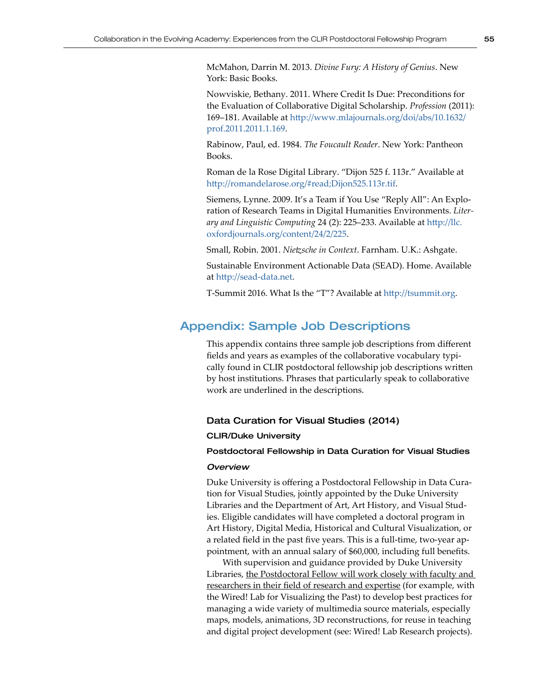McMahon, Darrin M. 2013. *Divine Fury: A History of Genius*. New York: Basic Books.

Nowviskie, Bethany. 2011. Where Credit Is Due: Preconditions for the Evaluation of Collaborative Digital Scholarship. *Profession* (2011): 169–181. Available at [http://www.mlajournals.org/doi/abs/10.1632/](http://www.mlajournals.org/doi/abs/10.1632/prof.2011.2011.1.169) [prof.2011.2011.1.169](http://www.mlajournals.org/doi/abs/10.1632/prof.2011.2011.1.169).

Rabinow, Paul, ed. 1984. *The Foucault Reader*. New York: Pantheon Books.

Roman de la Rose Digital Library. "Dijon 525 f. 113r." Available at <http://romandelarose.org/#read;Dijon525.113r.tif>.

Siemens, Lynne. 2009. It's a Team if You Use "Reply All": An Exploration of Research Teams in Digital Humanities Environments. *Literary and Linguistic Computing* 24 (2): 225–233. Available at [http://llc.](http://llc.oxfordjournals.org/content/24/2/225) [oxfordjournals.org/content/24/2/225](http://llc.oxfordjournals.org/content/24/2/225).

Small, Robin. 2001. *Nietzsche in Context*. Farnham. U.K.: Ashgate.

Sustainable Environment Actionable Data (SEAD). Home. Available at <http://sead-data.net>.

T-Summit 2016. What Is the "T"? Available at <http://tsummit.org>.

# Appendix: Sample Job Descriptions

This appendix contains three sample job descriptions from different fields and years as examples of the collaborative vocabulary typically found in CLIR postdoctoral fellowship job descriptions written by host institutions. Phrases that particularly speak to collaborative work are underlined in the descriptions.

## Data Curation for Visual Studies (2014)

## CLIR/Duke University

## Postdoctoral Fellowship in Data Curation for Visual Studies

## *Overview*

Duke University is offering a Postdoctoral Fellowship in Data Curation for Visual Studies, jointly appointed by the Duke University Libraries and the Department of Art, Art History, and Visual Studies. Eligible candidates will have completed a doctoral program in Art History, Digital Media, Historical and Cultural Visualization, or a related field in the past five years. This is a full-time, two-year appointment, with an annual salary of \$60,000, including full benefits.

With supervision and guidance provided by Duke University Libraries, the Postdoctoral Fellow will work closely with faculty and researchers in their field of research and expertise (for example, with the Wired! Lab for Visualizing the Past) to develop best practices for managing a wide variety of multimedia source materials, especially maps, models, animations, 3D reconstructions, for reuse in teaching and digital project development (see: Wired! Lab Research projects).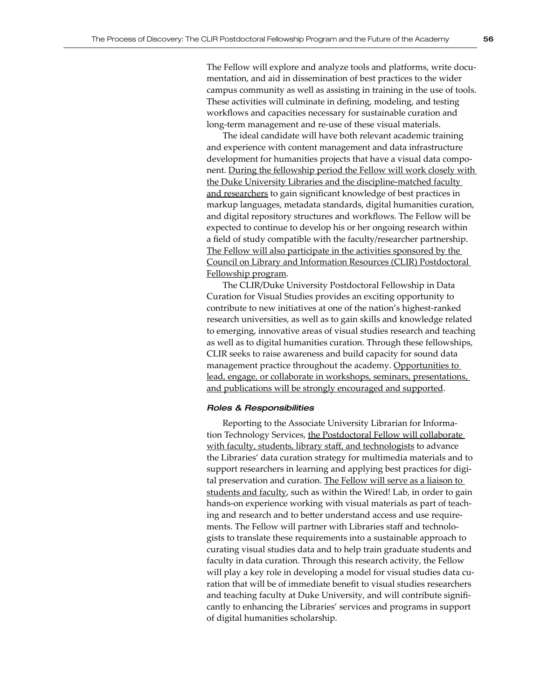The Fellow will explore and analyze tools and platforms, write documentation, and aid in dissemination of best practices to the wider campus community as well as assisting in training in the use of tools. These activities will culminate in defining, modeling, and testing workflows and capacities necessary for sustainable curation and long-term management and re-use of these visual materials.

The ideal candidate will have both relevant academic training and experience with content management and data infrastructure development for humanities projects that have a visual data component. During the fellowship period the Fellow will work closely with the Duke University Libraries and the discipline-matched faculty and researchers to gain significant knowledge of best practices in markup languages, metadata standards, digital humanities curation, and digital repository structures and workflows. The Fellow will be expected to continue to develop his or her ongoing research within a field of study compatible with the faculty/researcher partnership. The Fellow will also participate in the activities sponsored by the Council on Library and Information Resources (CLIR) Postdoctoral Fellowship program.

The CLIR/Duke University Postdoctoral Fellowship in Data Curation for Visual Studies provides an exciting opportunity to contribute to new initiatives at one of the nation's highest-ranked research universities, as well as to gain skills and knowledge related to emerging, innovative areas of visual studies research and teaching as well as to digital humanities curation. Through these fellowships, CLIR seeks to raise awareness and build capacity for sound data management practice throughout the academy. Opportunities to lead, engage, or collaborate in workshops, seminars, presentations, and publications will be strongly encouraged and supported.

#### *Roles & Responsibilities*

Reporting to the Associate University Librarian for Information Technology Services, the Postdoctoral Fellow will collaborate with faculty, students, library staff, and technologists to advance the Libraries' data curation strategy for multimedia materials and to support researchers in learning and applying best practices for digital preservation and curation. The Fellow will serve as a liaison to students and faculty, such as within the Wired! Lab, in order to gain hands-on experience working with visual materials as part of teaching and research and to better understand access and use requirements. The Fellow will partner with Libraries staff and technologists to translate these requirements into a sustainable approach to curating visual studies data and to help train graduate students and faculty in data curation. Through this research activity, the Fellow will play a key role in developing a model for visual studies data curation that will be of immediate benefit to visual studies researchers and teaching faculty at Duke University, and will contribute significantly to enhancing the Libraries' services and programs in support of digital humanities scholarship.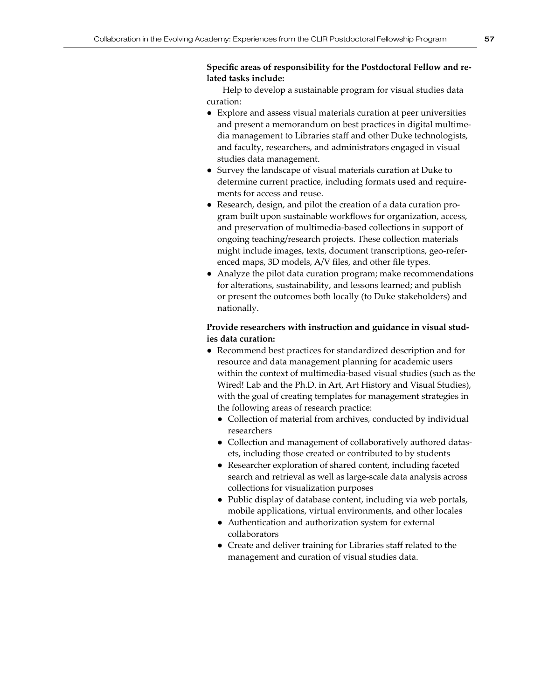## **Specific areas of responsibility for the Postdoctoral Fellow and related tasks include:**

Help to develop a sustainable program for visual studies data curation:

- *●* Explore and assess visual materials curation at peer universities and present a memorandum on best practices in digital multimedia management to Libraries staff and other Duke technologists, and faculty, researchers, and administrators engaged in visual studies data management.
- Survey the landscape of visual materials curation at Duke to determine current practice, including formats used and requirements for access and reuse.
- Research, design, and pilot the creation of a data curation program built upon sustainable workflows for organization, access, and preservation of multimedia-based collections in support of ongoing teaching/research projects. These collection materials might include images, texts, document transcriptions, geo-referenced maps, 3D models, A/V files, and other file types.
- Analyze the pilot data curation program; make recommendations for alterations, sustainability, and lessons learned; and publish or present the outcomes both locally (to Duke stakeholders) and nationally.

## **Provide researchers with instruction and guidance in visual studies data curation:**

- *●* Recommend best practices for standardized description and for resource and data management planning for academic users within the context of multimedia-based visual studies (such as the Wired! Lab and the Ph.D. in Art, Art History and Visual Studies), with the goal of creating templates for management strategies in the following areas of research practice:
	- *●* Collection of material from archives, conducted by individual researchers
	- *●* Collection and management of collaboratively authored datasets, including those created or contributed to by students
	- *●* Researcher exploration of shared content, including faceted search and retrieval as well as large-scale data analysis across collections for visualization purposes
	- *●* Public display of database content, including via web portals, mobile applications, virtual environments, and other locales
	- *●* Authentication and authorization system for external collaborators
	- Create and deliver training for Libraries staff related to the management and curation of visual studies data.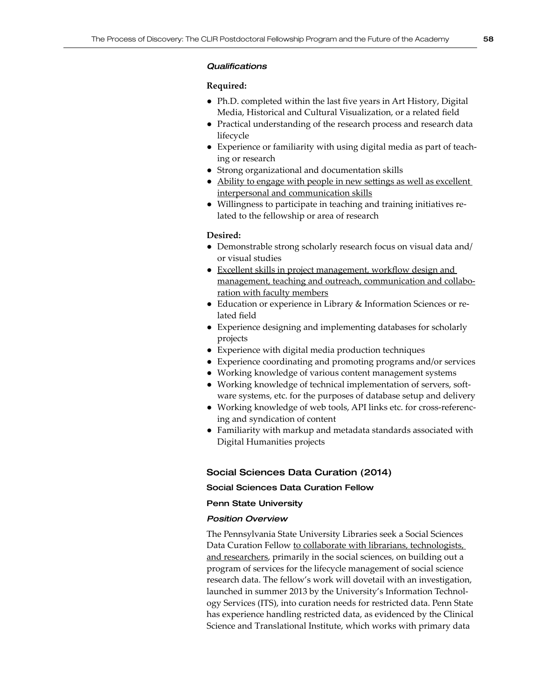## *Qualifications*

## **Required:**

- *●* Ph.D. completed within the last five years in Art History, Digital Media, Historical and Cultural Visualization, or a related field
- Practical understanding of the research process and research data lifecycle
- Experience or familiarity with using digital media as part of teaching or research
- Strong organizational and documentation skills
- Ability to engage with people in new settings as well as excellent interpersonal and communication skills
- Willingness to participate in teaching and training initiatives related to the fellowship or area of research

## **Desired:**

- *●* Demonstrable strong scholarly research focus on visual data and/ or visual studies
- <u>Excellent skills in project management, workflow design and</u> management, teaching and outreach, communication and collaboration with faculty members
- Education or experience in Library & Information Sciences or related field
- Experience designing and implementing databases for scholarly projects
- Experience with digital media production techniques
- Experience coordinating and promoting programs and/or services
- Working knowledge of various content management systems
- Working knowledge of technical implementation of servers, software systems, etc. for the purposes of database setup and delivery
- Working knowledge of web tools, API links etc. for cross-referencing and syndication of content
- Familiarity with markup and metadata standards associated with Digital Humanities projects

## Social Sciences Data Curation (2014)

## Social Sciences Data Curation Fellow

## Penn State University

## *Position Overview*

The Pennsylvania State University Libraries seek a Social Sciences Data Curation Fellow to collaborate with librarians, technologists, and researchers, primarily in the social sciences, on building out a program of services for the lifecycle management of social science research data. The fellow's work will dovetail with an investigation, launched in summer 2013 by the University's Information Technology Services (ITS), into curation needs for restricted data. Penn State has experience handling restricted data, as evidenced by the Clinical Science and Translational Institute, which works with primary data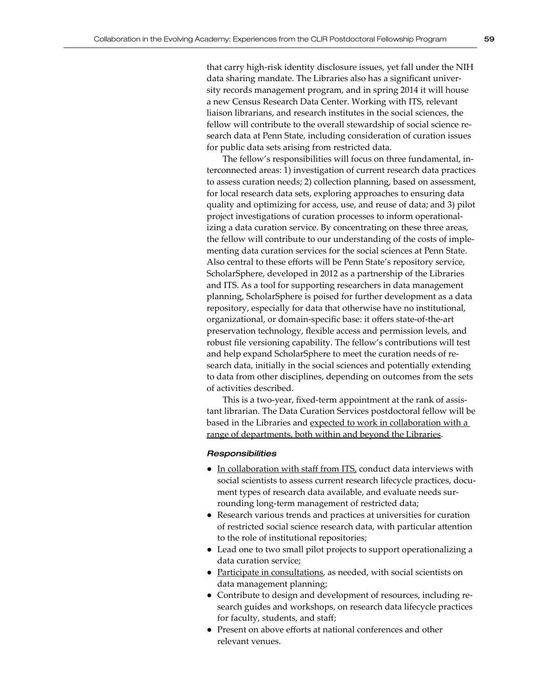that carry high-risk identity disclosure issues, yet fall under the NIH data sharing mandate. The Libraries also has a significant university records management program, and in spring 2014 it will house a new Census Research Data Center. Working with ITS, relevant liaison librarians, and research institutes in the social sciences, the fellow will contribute to the overall stewardship of social science research data at Penn State, including consideration of curation issues for public data sets arising from restricted data.

The fellow's responsibilities will focus on three fundamental, interconnected areas: 1) investigation of current research data practices to assess curation needs; 2) collection planning, based on assessment, for local research data sets, exploring approaches to ensuring data quality and optimizing for access, use, and reuse of data; and 3) pilot project investigations of curation processes to inform operationalizing a data curation service. By concentrating on these three areas, the fellow will contribute to our understanding of the costs of implementing data curation services for the social sciences at Penn State. Also central to these efforts will be Penn State's repository service, ScholarSphere, developed in 2012 as a partnership of the Libraries and ITS. As a tool for supporting researchers in data management planning, ScholarSphere is poised for further development as a data repository, especially for data that otherwise have no institutional, organizational, or domain-specific base: it offers state-of-the-art preservation technology, flexible access and permission levels, and robust file versioning capability. The fellow's contributions will test and help expand ScholarSphere to meet the curation needs of research data, initially in the social sciences and potentially extending to data from other disciplines, depending on outcomes from the sets of activities described.

This is a two-year, fixed-term appointment at the rank of assistant librarian. The Data Curation Services postdoctoral fellow will be based in the Libraries and expected to work in collaboration with a range of departments, both within and beyond the Libraries.

## *Responsibilities*

- In collaboration with staff from ITS, conduct data interviews with social scientists to assess current research lifecycle practices, document types of research data available, and evaluate needs surrounding long-term management of restricted data;
- Research various trends and practices at universities for curation of restricted social science research data, with particular attention to the role of institutional repositories;
- Lead one to two small pilot projects to support operationalizing a data curation service;
- Participate in consultations, as needed, with social scientists on data management planning;
- Contribute to design and development of resources, including research guides and workshops, on research data lifecycle practices for faculty, students, and staff;
- Present on above efforts at national conferences and other relevant venues.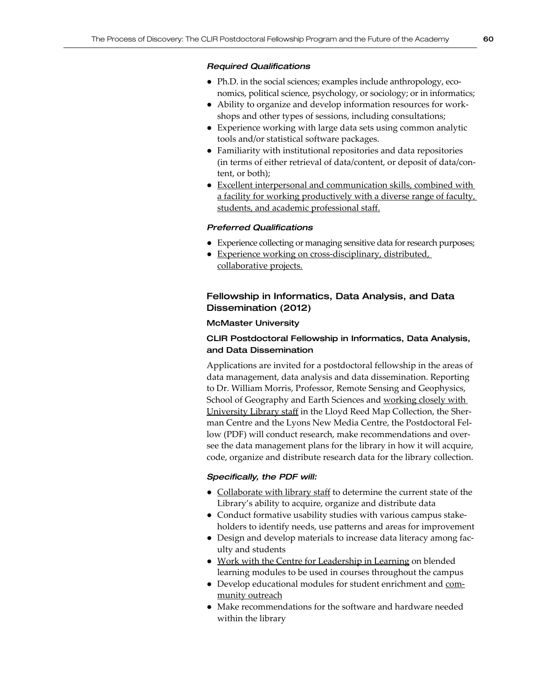## *Required Qualifications*

- *●*  Ph.D. in the social sciences; examples include anthropology, economics, political science, psychology, or sociology; or in informatics;
- Ability to organize and develop information resources for workshops and other types of sessions, including consultations;
- Experience working with large data sets using common analytic tools and/or statistical software packages.
- Familiarity with institutional repositories and data repositories (in terms of either retrieval of data/content, or deposit of data/content, or both);
- Excellent interpersonal and communication skills, combined with a facility for working productively with a diverse range of faculty, students, and academic professional staff.

## *Preferred Qualifications*

- Experience collecting or managing sensitive data for research purposes;
- Experience working on cross-disciplinary, distributed, collaborative projects.

## Fellowship in Informatics, Data Analysis, and Data Dissemination (2012)

## McMaster University

## CLIR Postdoctoral Fellowship in Informatics, Data Analysis, and Data Dissemination

Applications are invited for a postdoctoral fellowship in the areas of data management, data analysis and data dissemination. Reporting to Dr. William Morris, Professor, Remote Sensing and Geophysics, School of Geography and Earth Sciences and working closely with University Library staff in the Lloyd Reed Map Collection, the Sherman Centre and the Lyons New Media Centre, the Postdoctoral Fellow (PDF) will conduct research, make recommendations and oversee the data management plans for the library in how it will acquire, code, organize and distribute research data for the library collection.

## *Specifically, the PDF will:*

- Collaborate with library staff to determine the current state of the Library's ability to acquire, organize and distribute data
- Conduct formative usability studies with various campus stakeholders to identify needs, use patterns and areas for improvement
- Design and develop materials to increase data literacy among faculty and students
- Work with the Centre for Leadership in Learning on blended learning modules to be used in courses throughout the campus
- Develop educational modules for student enrichment and community outreach
- Make recommendations for the software and hardware needed within the library